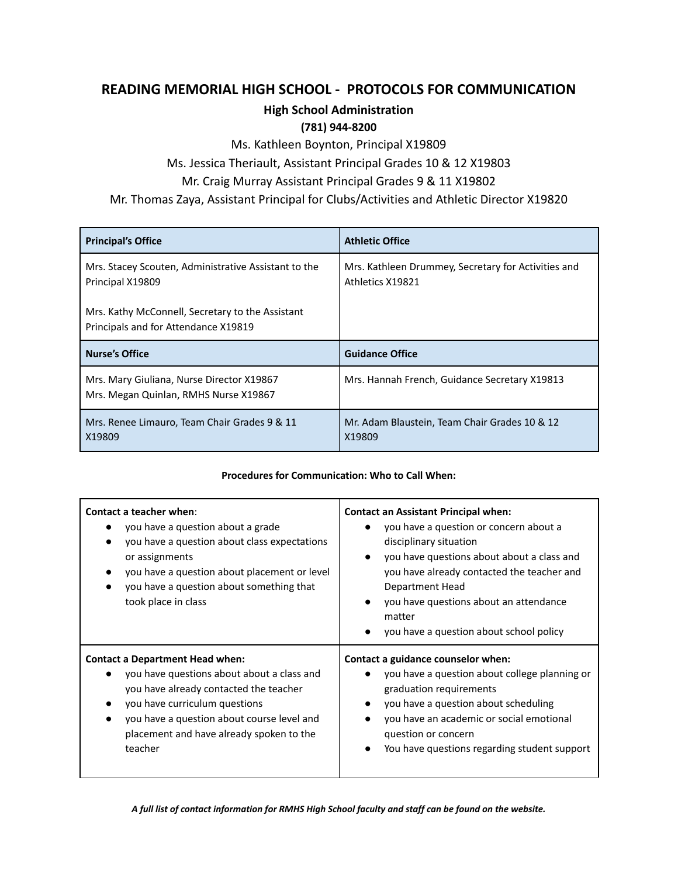# **READING MEMORIAL HIGH SCHOOL - PROTOCOLS FOR COMMUNICATION**

### **High School Administration**

### **(781) 944-8200**

Ms. Kathleen Boynton, Principal X19809

Ms. Jessica Theriault, Assistant Principal Grades 10 & 12 X19803

## Mr. Craig Murray Assistant Principal Grades 9 & 11 X19802

Mr. Thomas Zaya, Assistant Principal for Clubs/Activities and Athletic Director X19820

| <b>Principal's Office</b>                                                                | <b>Athletic Office</b>                                                  |
|------------------------------------------------------------------------------------------|-------------------------------------------------------------------------|
| Mrs. Stacey Scouten, Administrative Assistant to the<br>Principal X19809                 | Mrs. Kathleen Drummey, Secretary for Activities and<br>Athletics X19821 |
| Mrs. Kathy McConnell, Secretary to the Assistant<br>Principals and for Attendance X19819 |                                                                         |
| <b>Nurse's Office</b>                                                                    | <b>Guidance Office</b>                                                  |
| Mrs. Mary Giuliana, Nurse Director X19867<br>Mrs. Megan Quinlan, RMHS Nurse X19867       | Mrs. Hannah French, Guidance Secretary X19813                           |
| Mrs. Renee Limauro, Team Chair Grades 9 & 11<br>X19809                                   | Mr. Adam Blaustein, Team Chair Grades 10 & 12<br>X19809                 |

#### **Procedures for Communication: Who to Call When:**

| Contact a teacher when:<br>you have a question about a grade<br>you have a question about class expectations<br>or assignments<br>you have a question about placement or level<br>you have a question about something that<br>took place in class                    | <b>Contact an Assistant Principal when:</b><br>you have a question or concern about a<br>disciplinary situation<br>you have questions about about a class and<br>$\bullet$<br>you have already contacted the teacher and<br>Department Head<br>you have questions about an attendance<br>$\bullet$<br>matter<br>you have a question about school policy<br>$\bullet$ |
|----------------------------------------------------------------------------------------------------------------------------------------------------------------------------------------------------------------------------------------------------------------------|----------------------------------------------------------------------------------------------------------------------------------------------------------------------------------------------------------------------------------------------------------------------------------------------------------------------------------------------------------------------|
| <b>Contact a Department Head when:</b><br>you have questions about about a class and<br>you have already contacted the teacher<br>you have curriculum questions<br>you have a question about course level and<br>placement and have already spoken to the<br>teacher | Contact a guidance counselor when:<br>you have a question about college planning or<br>$\bullet$<br>graduation requirements<br>you have a question about scheduling<br>$\bullet$<br>you have an academic or social emotional<br>$\bullet$<br>question or concern<br>You have questions regarding student support                                                     |